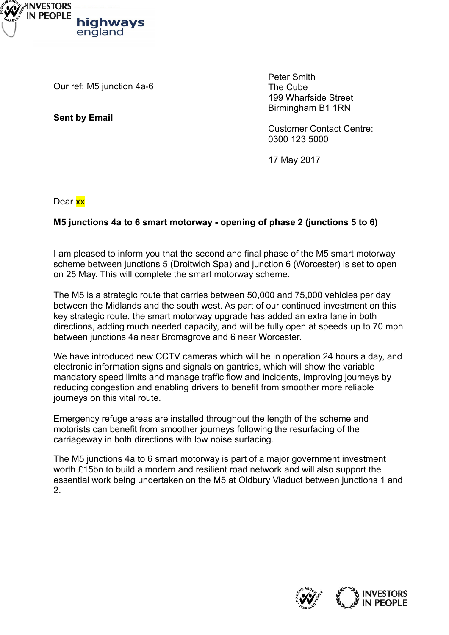

Our ref: M5 junction 4a-6

**Sent by Email**

Peter Smith The Cube 199 Wharfside Street Birmingham B1 1RN

Customer Contact Centre: 0300 123 5000

17 May 2017

Dear xx

## **M5 junctions 4a to 6 smart motorway - opening of phase 2 (junctions 5 to 6)**

I am pleased to inform you that the second and final phase of the M5 smart motorway scheme between junctions 5 (Droitwich Spa) and junction 6 (Worcester) is set to open on 25 May. This will complete the smart motorway scheme.

The M5 is a strategic route that carries between 50,000 and 75,000 vehicles per day between the Midlands and the south west. As part of our continued investment on this key strategic route, the smart motorway upgrade has added an extra lane in both directions, adding much needed capacity, and will be fully open at speeds up to 70 mph between junctions 4a near Bromsgrove and 6 near Worcester.

We have introduced new CCTV cameras which will be in operation 24 hours a day, and electronic information signs and signals on gantries, which will show the variable mandatory speed limits and manage traffic flow and incidents, improving journeys by reducing congestion and enabling drivers to benefit from smoother more reliable journeys on this vital route.

Emergency refuge areas are installed throughout the length of the scheme and motorists can benefit from smoother journeys following the resurfacing of the carriageway in both directions with low noise surfacing.

The M5 junctions 4a to 6 smart motorway is part of a major government investment worth £15bn to build a modern and resilient road network and will also support the essential work being undertaken on the M5 at Oldbury Viaduct between junctions 1 and 2.